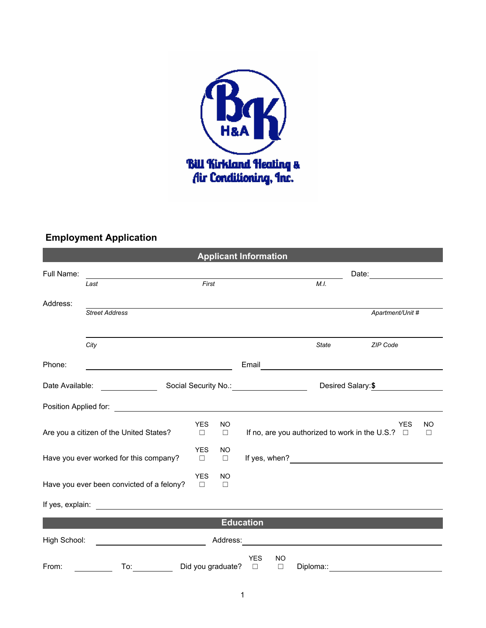

## **Employment Application**

| <b>Applicant Information</b> |                                                                                                                                                                                                                                      |                      |                   |                                                       |              |                                               |
|------------------------------|--------------------------------------------------------------------------------------------------------------------------------------------------------------------------------------------------------------------------------------|----------------------|-------------------|-------------------------------------------------------|--------------|-----------------------------------------------|
| Full Name:                   |                                                                                                                                                                                                                                      |                      |                   |                                                       |              | Date: <u>_________</u>                        |
|                              | Last                                                                                                                                                                                                                                 | First                |                   |                                                       | M.I.         |                                               |
| Address:                     |                                                                                                                                                                                                                                      |                      |                   |                                                       |              |                                               |
|                              | <b>Street Address</b>                                                                                                                                                                                                                |                      |                   |                                                       |              | Apartment/Unit #                              |
|                              | City                                                                                                                                                                                                                                 |                      |                   |                                                       | <b>State</b> | <b>ZIP Code</b>                               |
| Phone:                       |                                                                                                                                                                                                                                      |                      |                   |                                                       |              |                                               |
|                              | Date Available: _______________                                                                                                                                                                                                      |                      |                   |                                                       |              | Desired Salary: \$                            |
|                              | Position Applied for: <u>contract the contract of the contract of the contract of the contract of the contract of the contract of the contract of the contract of the contract of the contract of the contract of the contract o</u> |                      |                   |                                                       |              |                                               |
|                              | Are you a citizen of the United States?                                                                                                                                                                                              | <b>YES</b><br>$\Box$ | NO<br>$\Box$      | If no, are you authorized to work in the U.S.? $\Box$ |              | <b>YES</b><br><b>NO</b><br>$\Box$             |
|                              | Have you ever worked for this company?                                                                                                                                                                                               | <b>YES</b><br>$\Box$ | NO<br>$\Box$      |                                                       |              |                                               |
|                              | Have you ever been convicted of a felony?                                                                                                                                                                                            | <b>YES</b><br>$\Box$ | NO<br>$\Box$      |                                                       |              |                                               |
|                              | If yes, explain: <u>example and the set of the set of the set of the set of the set of the set of the set of the set of the set of the set of the set of the set of the set of the set of the set of the set of the set of the s</u> |                      |                   |                                                       |              |                                               |
|                              |                                                                                                                                                                                                                                      |                      |                   | <b>Education</b>                                      |              |                                               |
| High School:                 |                                                                                                                                                                                                                                      |                      | Address:          |                                                       |              | <u> 1989 - Johann Stein, fransk politik (</u> |
| From:                        | To:                                                                                                                                                                                                                                  |                      | Did you graduate? | <b>YES</b><br>NO<br>$\Box$<br>$\Box$                  | Diploma::    |                                               |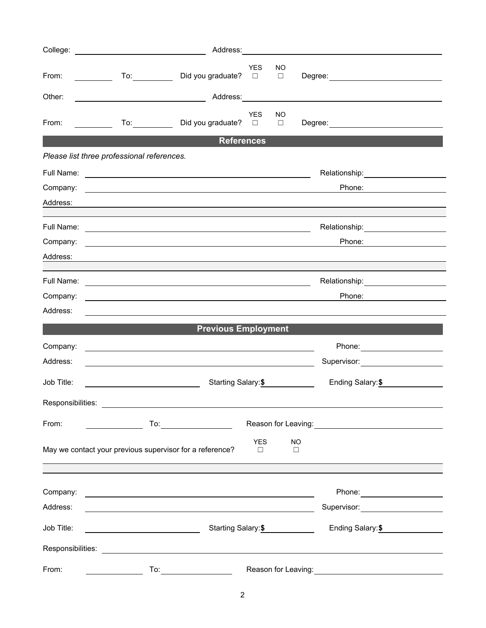| College:                                                                                                |                                                                                                                                                                                                                                                                                                                                                                                             |                                          |                      |                     |                                            |  |  |
|---------------------------------------------------------------------------------------------------------|---------------------------------------------------------------------------------------------------------------------------------------------------------------------------------------------------------------------------------------------------------------------------------------------------------------------------------------------------------------------------------------------|------------------------------------------|----------------------|---------------------|--------------------------------------------|--|--|
| From:                                                                                                   |                                                                                                                                                                                                                                                                                                                                                                                             | Did you graduate?                        | <b>YES</b><br>$\Box$ | NO<br>$\Box$        |                                            |  |  |
| Other:                                                                                                  |                                                                                                                                                                                                                                                                                                                                                                                             |                                          |                      |                     |                                            |  |  |
| From:                                                                                                   | <u>and the state</u>                                                                                                                                                                                                                                                                                                                                                                        | Did you graduate?                        | <b>YES</b><br>$\Box$ | NO<br>$\Box$        |                                            |  |  |
| <b>References</b>                                                                                       |                                                                                                                                                                                                                                                                                                                                                                                             |                                          |                      |                     |                                            |  |  |
|                                                                                                         | Please list three professional references.                                                                                                                                                                                                                                                                                                                                                  |                                          |                      |                     |                                            |  |  |
| Full Name:                                                                                              | <u> 1989 - Johann Barbara, martxa alemaniar argametar a contra a contra a contra a contra a contra a contra a co</u>                                                                                                                                                                                                                                                                        |                                          |                      |                     | Relationship: __________________           |  |  |
| Company:                                                                                                | and the control of the control of the control of the control of the control of the control of the control of the                                                                                                                                                                                                                                                                            |                                          |                      |                     | Phone:                                     |  |  |
| Address:                                                                                                |                                                                                                                                                                                                                                                                                                                                                                                             |                                          |                      |                     |                                            |  |  |
|                                                                                                         |                                                                                                                                                                                                                                                                                                                                                                                             |                                          |                      |                     | Relationship: 2000                         |  |  |
| Company:                                                                                                |                                                                                                                                                                                                                                                                                                                                                                                             |                                          |                      |                     | Phone:                                     |  |  |
| Address:                                                                                                |                                                                                                                                                                                                                                                                                                                                                                                             |                                          |                      |                     |                                            |  |  |
|                                                                                                         |                                                                                                                                                                                                                                                                                                                                                                                             |                                          |                      |                     |                                            |  |  |
| Full Name:                                                                                              |                                                                                                                                                                                                                                                                                                                                                                                             |                                          |                      |                     | Relationship: <b>Network Relationship:</b> |  |  |
| Company:<br>Address:                                                                                    |                                                                                                                                                                                                                                                                                                                                                                                             |                                          |                      |                     | Phone:                                     |  |  |
|                                                                                                         |                                                                                                                                                                                                                                                                                                                                                                                             |                                          |                      |                     |                                            |  |  |
|                                                                                                         |                                                                                                                                                                                                                                                                                                                                                                                             | <b>Previous Employment</b>               |                      |                     |                                            |  |  |
| Company:                                                                                                |                                                                                                                                                                                                                                                                                                                                                                                             |                                          |                      |                     |                                            |  |  |
| Address:                                                                                                |                                                                                                                                                                                                                                                                                                                                                                                             |                                          |                      |                     | Supervisor: _______________________        |  |  |
| Job Title:                                                                                              |                                                                                                                                                                                                                                                                                                                                                                                             | Starting Salary: \$                      |                      |                     |                                            |  |  |
| Responsibilities:                                                                                       |                                                                                                                                                                                                                                                                                                                                                                                             |                                          |                      |                     |                                            |  |  |
| From:                                                                                                   | $\begin{picture}(150,10) \put(0,0){\dashbox{0.5}(10,0){ }} \put(15,0){\circle{10}} \put(15,0){\circle{10}} \put(15,0){\circle{10}} \put(15,0){\circle{10}} \put(15,0){\circle{10}} \put(15,0){\circle{10}} \put(15,0){\circle{10}} \put(15,0){\circle{10}} \put(15,0){\circle{10}} \put(15,0){\circle{10}} \put(15,0){\circle{10}} \put(15,0){\circle{10}} \put(15,0){\circle{10}} \put(15$ |                                          |                      |                     |                                            |  |  |
| <b>YES</b><br><b>NO</b><br>May we contact your previous supervisor for a reference?<br>$\Box$<br>$\Box$ |                                                                                                                                                                                                                                                                                                                                                                                             |                                          |                      |                     |                                            |  |  |
|                                                                                                         |                                                                                                                                                                                                                                                                                                                                                                                             |                                          |                      |                     |                                            |  |  |
| Company:<br>Address:                                                                                    |                                                                                                                                                                                                                                                                                                                                                                                             |                                          |                      |                     |                                            |  |  |
|                                                                                                         |                                                                                                                                                                                                                                                                                                                                                                                             |                                          |                      |                     | Supervisor: ______________________         |  |  |
| Job Title:                                                                                              |                                                                                                                                                                                                                                                                                                                                                                                             | Starting Salary: \$<br>Ending Salary: \$ |                      |                     |                                            |  |  |
| Responsibilities:                                                                                       | <u> 1989 - Andrea Andrew Maria (h. 1989).</u>                                                                                                                                                                                                                                                                                                                                               |                                          |                      |                     |                                            |  |  |
| From:                                                                                                   | To:                                                                                                                                                                                                                                                                                                                                                                                         |                                          |                      | Reason for Leaving: |                                            |  |  |